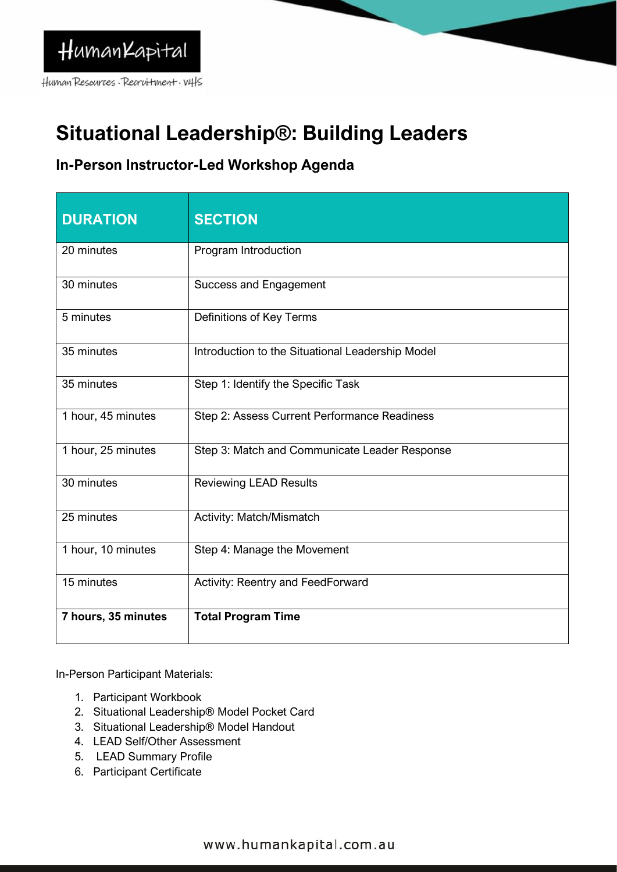Human Resources Recruitment. WHS

# **Situational Leadership®: Building Leaders**

## **In-Person Instructor-Led Workshop Agenda**

| <b>DURATION</b>     | <b>SECTION</b>                                   |
|---------------------|--------------------------------------------------|
| 20 minutes          | Program Introduction                             |
| 30 minutes          | <b>Success and Engagement</b>                    |
| 5 minutes           | Definitions of Key Terms                         |
| 35 minutes          | Introduction to the Situational Leadership Model |
| 35 minutes          | Step 1: Identify the Specific Task               |
| 1 hour, 45 minutes  | Step 2: Assess Current Performance Readiness     |
| 1 hour, 25 minutes  | Step 3: Match and Communicate Leader Response    |
| 30 minutes          | <b>Reviewing LEAD Results</b>                    |
| 25 minutes          | Activity: Match/Mismatch                         |
| 1 hour, 10 minutes  | Step 4: Manage the Movement                      |
| 15 minutes          | Activity: Reentry and FeedForward                |
| 7 hours, 35 minutes | <b>Total Program Time</b>                        |

In-Person Participant Materials:

- 1. Participant Workbook
- 2. Situational Leadership® Model Pocket Card
- 3. Situational Leadership® Model Handout
- 4. LEAD Self/Other Assessment
- 5. LEAD Summary Profile
- 6. Participant Certificate